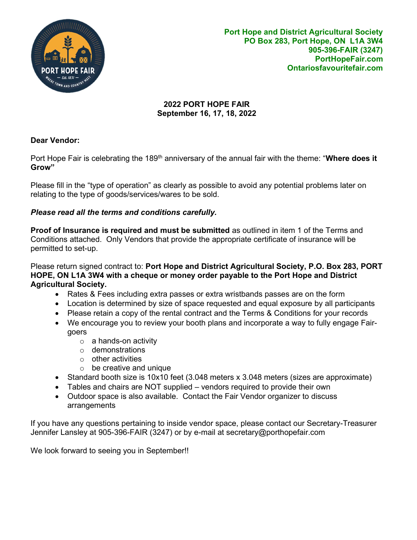

## 2022 PORT HOPE FAIR September 16, 17, 18, 2022

# Dear Vendor:

Port Hope Fair is celebrating the 189<sup>th</sup> anniversary of the annual fair with the theme: "Where does it Grow"

Please fill in the "type of operation" as clearly as possible to avoid any potential problems later on relating to the type of goods/services/wares to be sold.

# Please read all the terms and conditions carefully.

Proof of Insurance is required and must be submitted as outlined in item 1 of the Terms and Conditions attached. Only Vendors that provide the appropriate certificate of insurance will be permitted to set-up.

Please return signed contract to: Port Hope and District Agricultural Society, P.O. Box 283, PORT HOPE, ON L1A 3W4 with a cheque or money order payable to the Port Hope and District Agricultural Society.

- Rates & Fees including extra passes or extra wristbands passes are on the form
- Location is determined by size of space requested and equal exposure by all participants
- Please retain a copy of the rental contract and the Terms & Conditions for your records
- We encourage you to review your booth plans and incorporate a way to fully engage Fairgoers
	- $\circ$  a hands-on activity
	- o demonstrations
	- $\circ$  other activities
	- $\circ$  be creative and unique
- Standard booth size is 10x10 feet (3.048 meters x 3.048 meters (sizes are approximate)
- Tables and chairs are NOT supplied vendors required to provide their own
- Outdoor space is also available. Contact the Fair Vendor organizer to discuss arrangements

If you have any questions pertaining to inside vendor space, please contact our Secretary-Treasurer Jennifer Lansley at 905-396-FAIR (3247) or by e-mail at secretary@porthopefair.com

We look forward to seeing you in September!!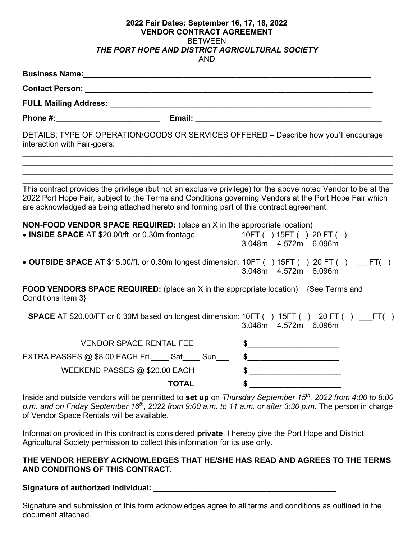#### 2022 Fair Dates: September 16, 17, 18, 2022 VENDOR CONTRACT AGREEMENT BETWEEN THE PORT HOPE AND DISTRICT AGRICULTURAL SOCIETY AND

| Business Name: <u>contract and a series of the series of the series of the series of the series of the series of the series of the series of the series of the series of the series of the series of the series of the series of</u>                                                                              |                      |
|-------------------------------------------------------------------------------------------------------------------------------------------------------------------------------------------------------------------------------------------------------------------------------------------------------------------|----------------------|
|                                                                                                                                                                                                                                                                                                                   |                      |
|                                                                                                                                                                                                                                                                                                                   |                      |
|                                                                                                                                                                                                                                                                                                                   |                      |
| DETAILS: TYPE OF OPERATION/GOODS OR SERVICES OFFERED - Describe how you'll encourage<br>interaction with Fair-goers:                                                                                                                                                                                              |                      |
| This contract provides the privilege (but not an exclusive privilege) for the above noted Vendor to be at the<br>2022 Port Hope Fair, subject to the Terms and Conditions governing Vendors at the Port Hope Fair which<br>are acknowledged as being attached hereto and forming part of this contract agreement. |                      |
| <b>NON-FOOD VENDOR SPACE REQUIRED:</b> (place an X in the appropriate location)<br>• INSIDE SPACE AT \$20.00/ft. or 0.30m frontage 10FT ( ) 15FT ( ) 20 FT ( )                                                                                                                                                    | 3.048m 4.572m 6.096m |
| • OUTSIDE SPACE AT \$15.00/ft. or 0.30m longest dimension: 10FT () 15FT () 20 FT () __FT()                                                                                                                                                                                                                        | 3.048m 4.572m 6.096m |
| <b>FOOD VENDORS SPACE REQUIRED:</b> (place an X in the appropriate location) {See Terms and<br>Conditions Item 3}                                                                                                                                                                                                 |                      |
| SPACE AT \$20.00/FT or 0.30M based on longest dimension: 10FT () 15FT () 20 FT () __FT()                                                                                                                                                                                                                          | 3.048m 4.572m 6.096m |
| <b>VENDOR SPACE RENTAL FEE</b>                                                                                                                                                                                                                                                                                    | $\frac{1}{2}$        |
| EXTRA PASSES @ \$8.00 EACH Fri._____ Sat_____ Sun_______ \$_______________________                                                                                                                                                                                                                                |                      |
| WEEKEND PASSES $@$ \$20.00 EACH                                                                                                                                                                                                                                                                                   |                      |
| <b>TOTAL</b>                                                                                                                                                                                                                                                                                                      |                      |
| Inside and outside vendors will be permitted to set up on Thursday September 15 <sup>th</sup> , 2022 from 4:00 to 8:00<br>p.m. and on Friday September 16 <sup>th</sup> , 2022 from 9:00 a.m. to 11 a.m. or after 3:30 p.m. The person in charge<br>of Vendor Space Rentals will be available.                    |                      |

Information provided in this contract is considered private. I hereby give the Port Hope and District Agricultural Society permission to collect this information for its use only.

### THE VENDOR HEREBY ACKNOWLEDGES THAT HE/SHE HAS READ AND AGREES TO THE TERMS AND CONDITIONS OF THIS CONTRACT.

Signature of authorized individual: \_\_\_\_\_\_\_\_\_\_\_\_\_\_\_\_\_\_\_\_\_\_\_\_\_\_\_\_\_\_\_\_\_\_\_\_\_\_\_\_\_\_

Signature and submission of this form acknowledges agree to all terms and conditions as outlined in the document attached.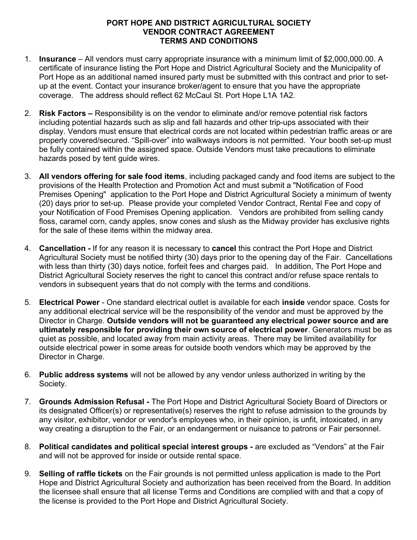### PORT HOPE AND DISTRICT AGRICULTURAL SOCIETY VENDOR CONTRACT AGREEMENT TERMS AND CONDITIONS

- 1. Insurance All vendors must carry appropriate insurance with a minimum limit of \$2,000,000.00. A certificate of insurance listing the Port Hope and District Agricultural Society and the Municipality of Port Hope as an additional named insured party must be submitted with this contract and prior to setup at the event. Contact your insurance broker/agent to ensure that you have the appropriate coverage. The address should reflect 62 McCaul St. Port Hope L1A 1A2.
- 2. **Risk Factors –** Responsibility is on the vendor to eliminate and/or remove potential risk factors including potential hazards such as slip and fall hazards and other trip-ups associated with their display. Vendors must ensure that electrical cords are not located within pedestrian traffic areas or are properly covered/secured. "Spill-over" into walkways indoors is not permitted. Your booth set-up must be fully contained within the assigned space. Outside Vendors must take precautions to eliminate hazards posed by tent quide wires.
- 3. All vendors offering for sale food items, including packaged candy and food items are subject to the provisions of the Health Protection and Promotion Act and must submit a "Notification of Food Premises Opening" application to the Port Hope and District Agricultural Society a minimum of twenty (20) days prior to set-up. Please provide your completed Vendor Contract, Rental Fee and copy of your Notification of Food Premises Opening application. Vendors are prohibited from selling candy floss, caramel corn, candy apples, snow cones and slush as the Midway provider has exclusive rights for the sale of these items within the midway area.
- 4. **Cancellation If for any reason it is necessary to cancel this contract the Port Hope and District** Agricultural Society must be notified thirty (30) days prior to the opening day of the Fair. Cancellations with less than thirty (30) days notice, forfeit fees and charges paid. In addition, The Port Hope and District Agricultural Society reserves the right to cancel this contract and/or refuse space rentals to vendors in subsequent years that do not comply with the terms and conditions.
- 5. Electrical Power One standard electrical outlet is available for each inside vendor space. Costs for any additional electrical service will be the responsibility of the vendor and must be approved by the Director in Charge. Outside vendors will not be guaranteed any electrical power source and are ultimately responsible for providing their own source of electrical power. Generators must be as quiet as possible, and located away from main activity areas. There may be limited availability for outside electrical power in some areas for outside booth vendors which may be approved by the Director in Charge.
- 6. Public address systems will not be allowed by any vendor unless authorized in writing by the Society.
- 7. Grounds Admission Refusal The Port Hope and District Agricultural Society Board of Directors or its designated Officer(s) or representative(s) reserves the right to refuse admission to the grounds by any visitor, exhibitor, vendor or vendor's employees who, in their opinion, is unfit, intoxicated, in any way creating a disruption to the Fair, or an endangerment or nuisance to patrons or Fair personnel.
- 8. Political candidates and political special interest groups are excluded as "Vendors" at the Fair and will not be approved for inside or outside rental space.
- 9. Selling of raffle tickets on the Fair grounds is not permitted unless application is made to the Port Hope and District Agricultural Society and authorization has been received from the Board. In addition the licensee shall ensure that all license Terms and Conditions are complied with and that a copy of the license is provided to the Port Hope and District Agricultural Society.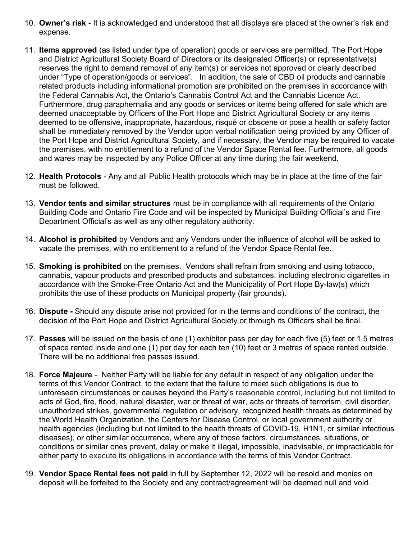- 10. Owner's risk It is acknowledged and understood that all displays are placed at the owner's risk and expense.
- 11. **Items approved** (as listed under type of operation) goods or services are permitted. The Port Hope and District Agricultural Society Board of Directors or its designated Officer(s) or representative(s) reserves the right to demand removal of any item(s) or services not approved or clearly described under "Type of operation/goods or services". In addition, the sale of CBD oil products and cannabis related products including informational promotion are prohibited on the premises in accordance with the Federal Cannabis Act, the Ontario's Cannabis Control Act and the Cannabis Licence Act. Furthermore, drug paraphernalia and any goods or services or items being offered for sale which are deemed unacceptable by Officers of the Port Hope and District Agricultural Society or any items deemed to be offensive, inappropriate, hazardous, risqué or obscene or pose a health or safety factor shall be immediately removed by the Vendor upon verbal notification being provided by any Officer of the Port Hope and District Agricultural Society, and if necessary, the Vendor may be required to vacate the premises, with no entitlement to a refund of the Vendor Space Rental fee. Furthermore, all goods and wares may be inspected by any Police Officer at any time during the fair weekend.
- 12. Health Protocols Any and all Public Health protocols which may be in place at the time of the fair must be followed.
- 13. Vendor tents and similar structures must be in compliance with all requirements of the Ontario Building Code and Ontario Fire Code and will be inspected by Municipal Building Official's and Fire Department Official's as well as any other regulatory authority.
- 14. Alcohol is prohibited by Vendors and any Vendors under the influence of alcohol will be asked to vacate the premises, with no entitlement to a refund of the Vendor Space Rental fee.
- 15. Smoking is prohibited on the premises. Vendors shall refrain from smoking and using tobacco, cannabis, vapour products and prescribed products and substances, including electronic cigarettes in accordance with the Smoke-Free Ontario Act and the Municipality of Port Hope By-law(s) which prohibits the use of these products on Municipal property (fair grounds).
- 16. Dispute Should any dispute arise not provided for in the terms and conditions of the contract, the decision of the Port Hope and District Agricultural Society or through its Officers shall be final.
- 17. Passes will be issued on the basis of one (1) exhibitor pass per day for each five (5) feet or 1.5 metres of space rented inside and one (1) per day for each ten (10) feet or 3 metres of space rented outside. There will be no additional free passes issued.
- 18. Force Majeure Neither Party will be liable for any default in respect of any obligation under the terms of this Vendor Contract, to the extent that the failure to meet such obligations is due to unforeseen circumstances or causes beyond the Party's reasonable control, including but not limited to acts of God, fire, flood, natural disaster, war or threat of war, acts or threats of terrorism, civil disorder, unauthorized strikes, governmental regulation or advisory, recognized health threats as determined by the World Health Organization, the Centers for Disease Control, or local government authority or health agencies (including but not limited to the health threats of COVID-19, H1N1, or similar infectious diseases), or other similar occurrence, where any of those factors, circumstances, situations, or conditions or similar ones prevent, delay or make it illegal, impossible, inadvisable, or impracticable for either party to execute its obligations in accordance with the terms of this Vendor Contract.
- 19. Vendor Space Rental fees not paid in full by September 12, 2022 will be resold and monies on deposit will be forfeited to the Society and any contract/agreement will be deemed null and void.